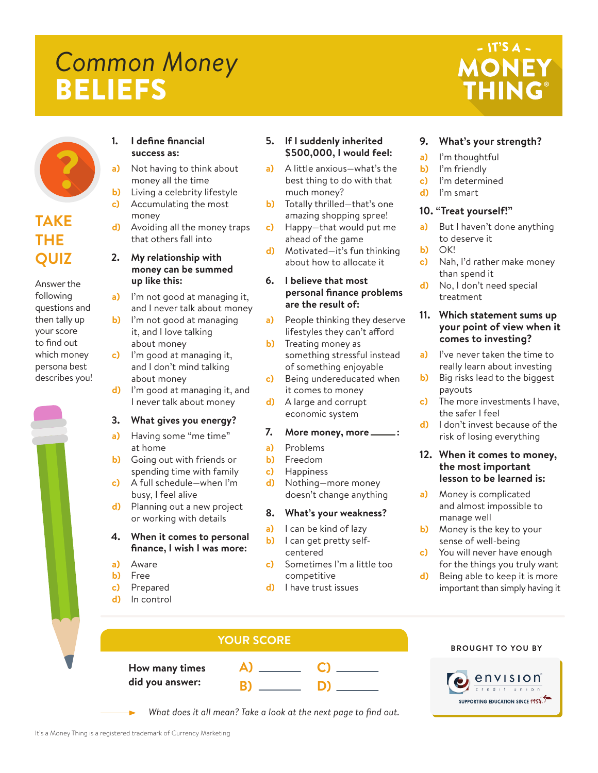# *Common Money* BELIEFS

## - IT'S A -**MONEY THING®**



### **TAKE THE QUIZ**

Answer the following questions and then tally up your score to find out which money persona best describes you!



#### **1. I define financial success as:**

- **a)** Not having to think about money all the time
- **b)** Living a celebrity lifestyle **c)** Accumulating the most money
- **d)** Avoiding all the money traps that others fall into

#### **2. My relationship with money can be summed up like this:**

- **a)** I'm not good at managing it, and I never talk about money
- **b)** I'm not good at managing it, and I love talking about money
- **c)** I'm good at managing it, and I don't mind talking about money
- **d)** I'm good at managing it, and I never talk about money

#### **3. What gives you energy?**

- **a)** Having some "me time" at home
- **b)** Going out with friends or spending time with family
- **c)** A full schedule—when I'm busy, I feel alive
- **d)** Planning out a new project or working with details

#### **4. When it comes to personal finance, I wish I was more:**

- **a)** Aware
- **b)** Free
- **c)** Prepared
- **d)** In control

#### **5. If I suddenly inherited \$500,000, I would feel:**

- **a)** A little anxious—what's the best thing to do with that much money?
- **b)** Totally thrilled—that's one amazing shopping spree!
- **c)** Happy—that would put me ahead of the game
- **d)** Motivated—it's fun thinking about how to allocate it

#### **6. I believe that most personal finance problems are the result of:**

- **a)** People thinking they deserve lifestyles they can't afford
- **b)** Treating money as something stressful instead of something enjoyable
- **c)** Being undereducated when it comes to money
- **d)** A large and corrupt economic system

#### **7. More money, more :**

- **a)** Problems
- **b)** Freedom
- **c)** Happiness
- **d)** Nothing—more money doesn't change anything

#### **8. What's your weakness?**

- **a)** I can be kind of lazy **b)** I can get pretty selfcentered
- **c)** Sometimes I'm a little too competitive

**C)**

**D)**

**d)** I have trust issues

#### **a)** I'm thoughtful **b)** I'm friendly

**9. What's your strength?**

- **c)** I'm determined
- **d)** I'm smart

#### **10. "Treat yourself!"**

- **a)** But I haven't done anything to deserve it
- **b)** OK!<br>**c)** Nah
	- **c)** Nah, I'd rather make money than spend it
- **d)** No, I don't need special treatment

#### **11. Which statement sums up your point of view when it comes to investing?**

- **a)** I've never taken the time to really learn about investing
- **b)** Big risks lead to the biggest payouts
- **c)** The more investments I have, the safer I feel
- **d)** I don't invest because of the risk of losing everything

#### **12. When it comes to money, the most important lesson to be learned is:**

- **a)** Money is complicated and almost impossible to manage well
- **b)** Money is the key to your sense of well-being
- **c)** You will never have enough for the things you truly want
- **d)** Being able to keep it is more important than simply having it

### **YOUR SCORE**

**How many times** did you answ

| mes  |   |  |
|------|---|--|
| ver: | В |  |

**BROUGHT TO YOU BY**



*What does it all mean? Take a look at the next page to find out.*

- 
- 

**A)**